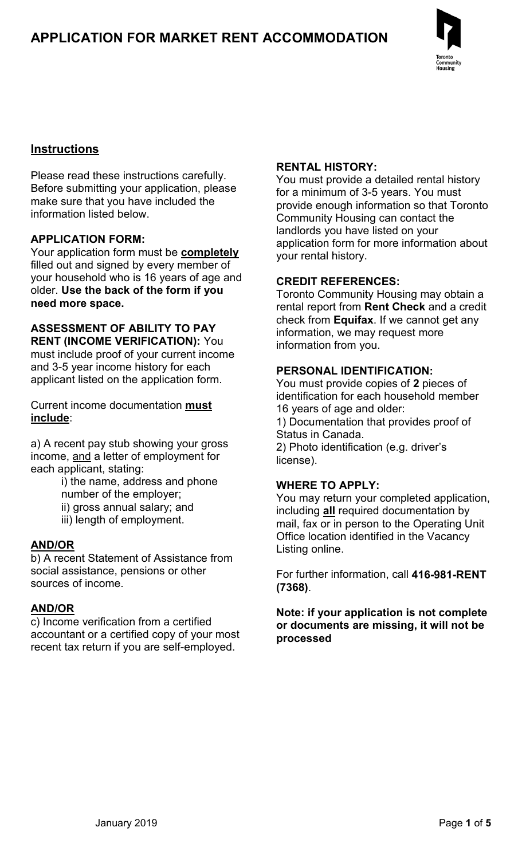

### **Instructions**

Please read these instructions carefully. Before submitting your application, please make sure that you have included the information listed below.

#### **APPLICATION FORM:**

Your application form must be **completely**  filled out and signed by every member of your household who is 16 years of age and older. **Use the back of the form if you need more space.** 

#### **ASSESSMENT OF ABILITY TO PAY RENT (INCOME VERIFICATION):** You

 applicant listed on the application form. must include proof of your current income and 3-5 year income history for each

Current income documentation **must include**:

a) A recent pay stub showing your gross income, and a letter of employment for each applicant, stating:

i) the name, address and phone number of the employer;

- ii) gross annual salary; and
- iii) length of employment.

#### **AND/OR**

 b) A recent Statement of Assistance from social assistance, pensions or other sources of income.

#### **AND/OR**

c) Income verification from a certified accountant or a certified copy of your most recent tax return if you are self-employed.

#### **RENTAL HISTORY:**

 You must provide a detailed rental history for a minimum of 3-5 years. You must provide enough information so that Toronto Community Housing can contact the landlords you have listed on your application form for more information about your rental history.

#### **CREDIT REFERENCES:**

 Toronto Community Housing may obtain a rental report from **Rent Check** and a credit check from **Equifax**. If we cannot get any information, we may request more information from you.

#### **PERSONAL IDENTIFICATION:**

You must provide copies of **2** pieces of identification for each household member 16 years of age and older: 1) Documentation that provides proof of Status in Canada. 2) Photo identification (e.g. driver's license).

#### **WHERE TO APPI Y:**

You may return your completed application, including **all** required documentation by mail, fax or in person to the Operating Unit Office location identified in the Vacancy Listing online.

For further information, call **416-981-RENT (7368)**.

**Note: if your application is not complete or documents are missing, it will not be processed**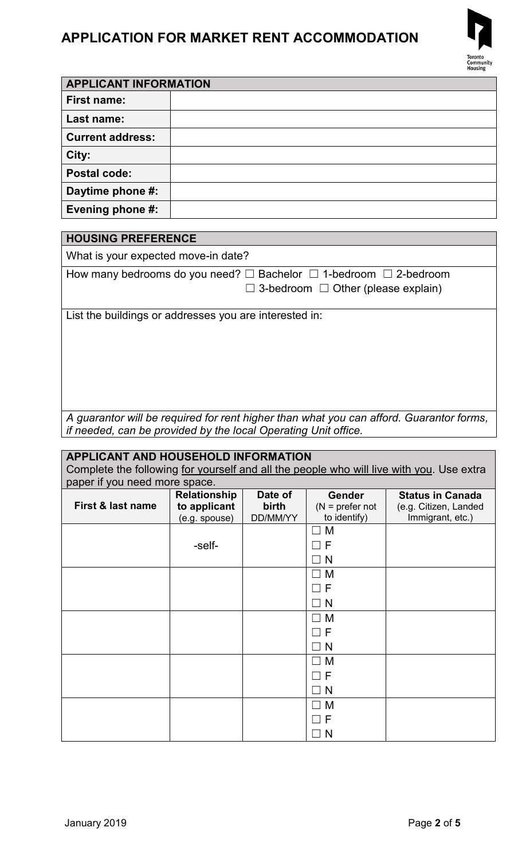

| <b>APPLICANT INFORMATION</b> |  |  |
|------------------------------|--|--|
| <b>First name:</b>           |  |  |
| Last name:                   |  |  |
| <b>Current address:</b>      |  |  |
| City:                        |  |  |
| <b>Postal code:</b>          |  |  |
| Daytime phone #:             |  |  |
| Evening phone #:             |  |  |

| <b>HOUSING PREFERENCE</b>                                                                                                          |
|------------------------------------------------------------------------------------------------------------------------------------|
| What is your expected move-in date?                                                                                                |
| How many bedrooms do you need? $\Box$ Bachelor $\Box$ 1-bedroom $\Box$ 2-bedroom<br>$\Box$ 3-bedroom $\Box$ Other (please explain) |
| List the buildings or addresses you are interested in:                                                                             |

*A guarantor will be required for rent higher than what you can afford. Guarantor forms, if needed, can be provided by the local Operating Unit office.* 

| <b>APPLICANT AND HOUSEHOLD INFORMATION</b>                                               |                                                      |                              |                                                    |                                                                      |
|------------------------------------------------------------------------------------------|------------------------------------------------------|------------------------------|----------------------------------------------------|----------------------------------------------------------------------|
| Complete the following for yourself and all the people who will live with you. Use extra |                                                      |                              |                                                    |                                                                      |
| paper if you need more space.                                                            |                                                      |                              |                                                    |                                                                      |
| First & last name                                                                        | <b>Relationship</b><br>to applicant<br>(e.g. spouse) | Date of<br>birth<br>DD/MM/YY | <b>Gender</b><br>$(N = prefer not$<br>to identify) | <b>Status in Canada</b><br>(e.g. Citizen, Landed<br>Immigrant, etc.) |
|                                                                                          | -self-                                               |                              | M<br>F<br>N                                        |                                                                      |
|                                                                                          |                                                      |                              | M<br>F<br>N                                        |                                                                      |
|                                                                                          |                                                      |                              | M<br>F<br>N                                        |                                                                      |
|                                                                                          |                                                      |                              | M<br>F<br><sub>N</sub>                             |                                                                      |
|                                                                                          |                                                      |                              | M<br>N                                             |                                                                      |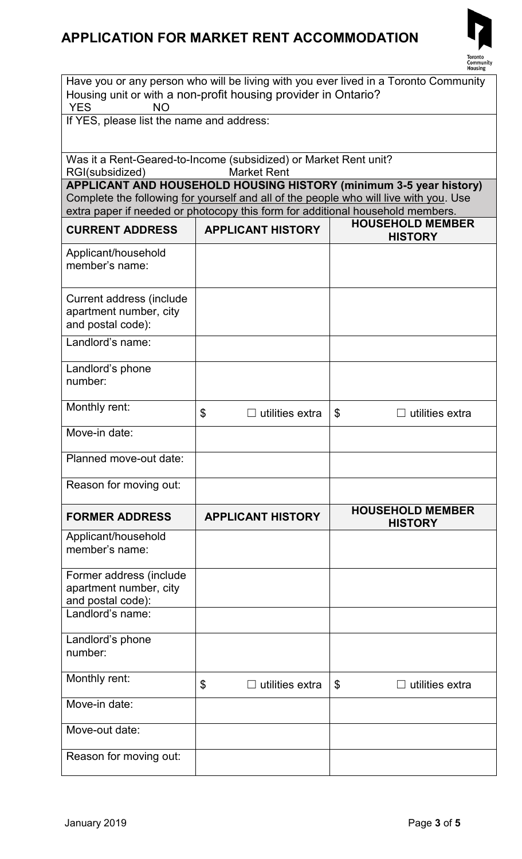

| Have you or any person who will be living with you ever lived in a Toronto Community<br>Housing unit or with a non-profit housing provider in Ontario?<br><b>YES</b><br><b>NO</b> |                                                                                        |                                                                                       |  |
|-----------------------------------------------------------------------------------------------------------------------------------------------------------------------------------|----------------------------------------------------------------------------------------|---------------------------------------------------------------------------------------|--|
| If YES, please list the name and address:                                                                                                                                         |                                                                                        |                                                                                       |  |
| RGI(subsidized)                                                                                                                                                                   | Was it a Rent-Geared-to-Income (subsidized) or Market Rent unit?<br><b>Market Rent</b> |                                                                                       |  |
|                                                                                                                                                                                   |                                                                                        | <b>APPLICANT AND HOUSEHOLD HOUSING HISTORY (minimum 3-5 year history)</b>             |  |
|                                                                                                                                                                                   | extra paper if needed or photocopy this form for additional household members.         | Complete the following for yourself and all of the people who will live with you. Use |  |
| <b>CURRENT ADDRESS</b>                                                                                                                                                            | <b>APPLICANT HISTORY</b>                                                               | <b>HOUSEHOLD MEMBER</b><br><b>HISTORY</b>                                             |  |
| Applicant/household<br>member's name:                                                                                                                                             |                                                                                        |                                                                                       |  |
| Current address (include<br>apartment number, city<br>and postal code):                                                                                                           |                                                                                        |                                                                                       |  |
| Landlord's name:                                                                                                                                                                  |                                                                                        |                                                                                       |  |
| Landlord's phone<br>number:                                                                                                                                                       |                                                                                        |                                                                                       |  |
| Monthly rent:                                                                                                                                                                     | \$<br>utilities extra                                                                  | \$<br>utilities extra                                                                 |  |
| Move-in date:                                                                                                                                                                     |                                                                                        |                                                                                       |  |
| Planned move-out date:                                                                                                                                                            |                                                                                        |                                                                                       |  |
| Reason for moving out:                                                                                                                                                            |                                                                                        |                                                                                       |  |
| <b>FORMER ADDRESS</b>                                                                                                                                                             | <b>APPLICANT HISTORY</b>                                                               | <b>HOUSEHOLD MEMBER</b><br><b>HISTORY</b>                                             |  |
| Applicant/household<br>member's name:                                                                                                                                             |                                                                                        |                                                                                       |  |
| Former address (include<br>apartment number, city<br>and postal code):                                                                                                            |                                                                                        |                                                                                       |  |
| Landlord's name:                                                                                                                                                                  |                                                                                        |                                                                                       |  |
| Landlord's phone<br>number:                                                                                                                                                       |                                                                                        |                                                                                       |  |
| Monthly rent:                                                                                                                                                                     | \$<br>utilities extra                                                                  | \$<br>utilities extra                                                                 |  |
| Move-in date:                                                                                                                                                                     |                                                                                        |                                                                                       |  |
| Move-out date:                                                                                                                                                                    |                                                                                        |                                                                                       |  |
| Reason for moving out:                                                                                                                                                            |                                                                                        |                                                                                       |  |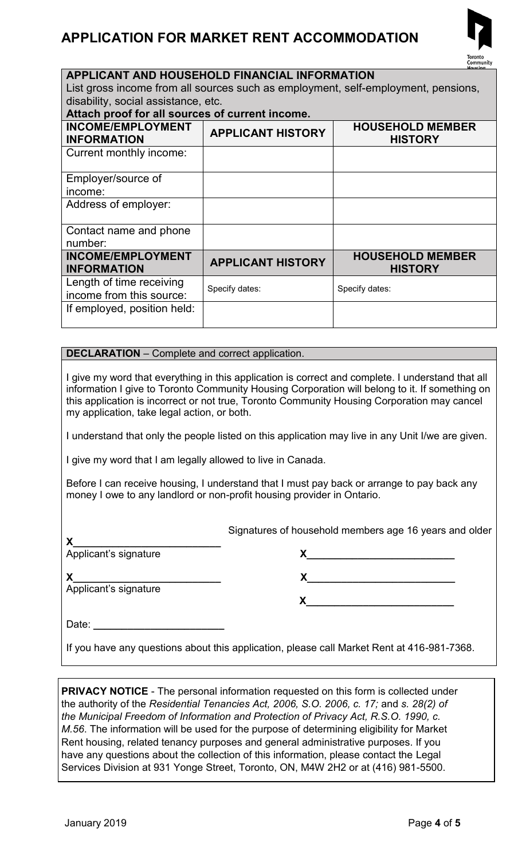

#### **APPLICANT AND HOUSEHOLD FINANCIAL INFORMATION**  List gross income from all sources such as employment, self-employment, pensions, disability, social assistance, etc. **Attach proof for all sources of current income. INCOME/EMPLOYMENT INFORMATION APPLICANT HISTORY HOUSEHOLD MEMBER HISTORY**  Current monthly income: Employer/source of income: Address of employer: Contact name and phone number: **INCOME/EMPLOYMENT INFORMATION APPLICANT HISTORY HOUSEHOLD MEMBER HISTORY**

| INFUNIXHIUN                                          |                | <b>NUICID</b>  |
|------------------------------------------------------|----------------|----------------|
| Length of time receiving<br>income from this source: | Specify dates: | Specify dates: |
| If employed, position held:                          |                |                |
|                                                      |                |                |

#### **DECLARATION** – Complete and correct application.

I give my word that everything in this application is correct and complete. I understand that all information I give to Toronto Community Housing Corporation will belong to it. If something on this application is incorrect or not true, Toronto Community Housing Corporation may cancel my application, take legal action, or both.

I understand that only the people listed on this application may live in any Unit I/we are given.

I give my word that I am legally allowed to live in Canada.

Before I can receive housing, I understand that I must pay back or arrange to pay back any money I owe to any landlord or non-profit housing provider in Ontario.

Signatures of household members age 16 years and older

**X\_\_\_\_\_\_\_\_\_\_\_\_\_\_\_\_\_\_\_\_\_\_\_\_\_\_\_\_\_\_\_\_\_** Applicant's signature **X** 

 $\boldsymbol{X}$ 

Applicant's signature

 $\mathsf{x}$  and  $\mathsf{y}$  and  $\mathsf{y}$  and  $\mathsf{y}$  and  $\mathsf{y}$  and  $\mathsf{y}$  and  $\mathsf{y}$  and  $\mathsf{y}$  and  $\mathsf{y}$  and  $\mathsf{y}$  and  $\mathsf{y}$  and  $\mathsf{y}$  and  $\mathsf{y}$  and  $\mathsf{y}$  and  $\mathsf{y}$  and  $\mathsf{y}$  and  $\mathsf{y}$  and

Date: **\_\_\_\_\_\_\_\_\_\_\_\_\_\_\_\_\_\_\_\_\_\_\_** 

If you have any questions about this application, please call Market Rent at 416-981-7368.

**PRIVACY NOTICE** - The personal information requested on this form is collected under the authority of the *Residential Tenancies Act, 2006, S.O. 2006, c. 17;* and *s. 28(2) of the Municipal Freedom of Information and Protection of Privacy Act, R.S.O. 1990, c. M.56*. The information will be used for the purpose of determining eligibility for Market Rent housing, related tenancy purposes and general administrative purposes. If you have any questions about the collection of this information, please contact the Legal Services Division at 931 Yonge Street, Toronto, ON, M4W 2H2 or at (416) 981-5500.